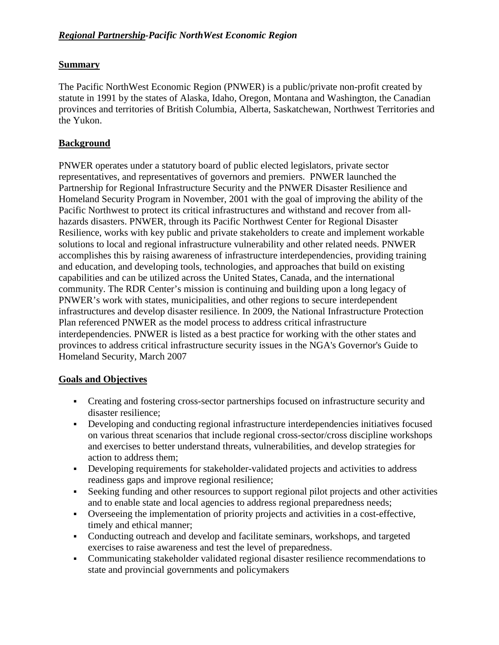# **Summary**

The Pacific NorthWest Economic Region (PNWER) is a public/private non-profit created by statute in 1991 by the states of Alaska, Idaho, Oregon, Montana and Washington, the Canadian provinces and territories of British Columbia, Alberta, Saskatchewan, Northwest Territories and the Yukon.

# **Background**

PNWER operates under a statutory board of public elected legislators, private sector representatives, and representatives of governors and premiers. PNWER launched the Partnership for Regional Infrastructure Security and the PNWER Disaster Resilience and Homeland Security Program in November, 2001 with the goal of improving the ability of the Pacific Northwest to protect its critical infrastructures and withstand and recover from allhazards disasters. PNWER, through its Pacific Northwest Center for Regional Disaster Resilience, works with key public and private stakeholders to create and implement workable solutions to local and regional infrastructure vulnerability and other related needs. PNWER accomplishes this by raising awareness of infrastructure interdependencies, providing training and education, and developing tools, technologies, and approaches that build on existing capabilities and can be utilized across the United States, Canada, and the international community. The RDR Center's mission is continuing and building upon a long legacy of PNWER's work with states, municipalities, and other regions to secure interdependent infrastructures and develop disaster resilience. In 2009, the National Infrastructure Protection Plan referenced PNWER as the model process to address critical infrastructure interdependencies. PNWER is listed as a best practice for working with the other states and provinces to address critical infrastructure security issues in the NGA's Governor's Guide to Homeland Security, March 2007

### **Goals and Objectives**

- Creating and fostering cross-sector partnerships focused on infrastructure security and disaster resilience;
- Developing and conducting regional infrastructure interdependencies initiatives focused on various threat scenarios that include regional cross-sector/cross discipline workshops and exercises to better understand threats, vulnerabilities, and develop strategies for action to address them;
- Developing requirements for stakeholder-validated projects and activities to address readiness gaps and improve regional resilience;
- Seeking funding and other resources to support regional pilot projects and other activities and to enable state and local agencies to address regional preparedness needs;
- Overseeing the implementation of priority projects and activities in a cost-effective, timely and ethical manner;
- Conducting outreach and develop and facilitate seminars, workshops, and targeted exercises to raise awareness and test the level of preparedness.
- Communicating stakeholder validated regional disaster resilience recommendations to state and provincial governments and policymakers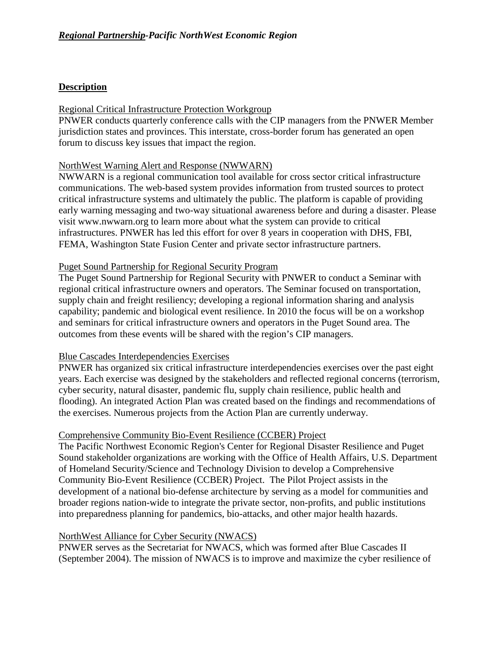### **Description**

#### Regional Critical Infrastructure Protection Workgroup

PNWER conducts quarterly conference calls with the CIP managers from the PNWER Member jurisdiction states and provinces. This interstate, cross-border forum has generated an open forum to discuss key issues that impact the region.

#### NorthWest Warning Alert and Response (NWWARN)

NWWARN is a regional communication tool available for cross sector critical infrastructure communications. The web-based system provides information from trusted sources to protect critical infrastructure systems and ultimately the public. The platform is capable of providing early warning messaging and two-way situational awareness before and during a disaster. Please visit www.nwwarn.org to learn more about what the system can provide to critical infrastructures. PNWER has led this effort for over 8 years in cooperation with DHS, FBI, FEMA, Washington State Fusion Center and private sector infrastructure partners.

#### Puget Sound Partnership for Regional Security Program

The Puget Sound Partnership for Regional Security with PNWER to conduct a Seminar with regional critical infrastructure owners and operators. The Seminar focused on transportation, supply chain and freight resiliency; developing a regional information sharing and analysis capability; pandemic and biological event resilience. In 2010 the focus will be on a workshop and seminars for critical infrastructure owners and operators in the Puget Sound area. The outcomes from these events will be shared with the region's CIP managers.

#### Blue Cascades Interdependencies Exercises

PNWER has organized six critical infrastructure interdependencies exercises over the past eight years. Each exercise was designed by the stakeholders and reflected regional concerns (terrorism, cyber security, natural disaster, pandemic flu, supply chain resilience, public health and flooding). An integrated Action Plan was created based on the findings and recommendations of the exercises. Numerous projects from the Action Plan are currently underway.

#### Comprehensive Community Bio-Event Resilience (CCBER) Project

The Pacific Northwest Economic Region's Center for Regional Disaster Resilience and Puget Sound stakeholder organizations are working with the Office of Health Affairs, U.S. Department of Homeland Security/Science and Technology Division to develop a Comprehensive Community Bio-Event Resilience (CCBER) Project. The Pilot Project assists in the development of a national bio-defense architecture by serving as a model for communities and broader regions nation-wide to integrate the private sector, non-profits, and public institutions into preparedness planning for pandemics, bio-attacks, and other major health hazards.

### NorthWest Alliance for Cyber Security (NWACS)

PNWER serves as the Secretariat for NWACS, which was formed after Blue Cascades II (September 2004). The mission of NWACS is to improve and maximize the cyber resilience of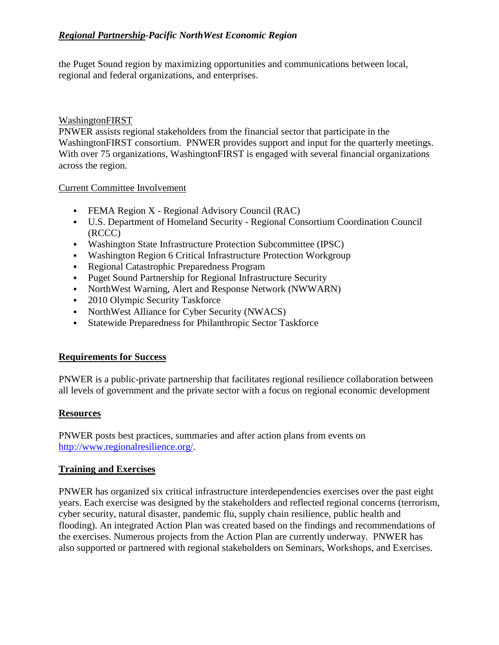## *Regional Partnership-Pacific NorthWest Economic Region*

the Puget Sound region by maximizing opportunities and communications between local, regional and federal organizations, and enterprises.

#### WashingtonFIRST

PNWER assists regional stakeholders from the financial sector that participate in the WashingtonFIRST consortium. PNWER provides support and input for the quarterly meetings. With over 75 organizations, WashingtonFIRST is engaged with several financial organizations across the region.

#### Current Committee Involvement

- FEMA Region X Regional Advisory Council (RAC)
- U.S. Department of Homeland Security Regional Consortium Coordination Council (RCCC)
- Washington State Infrastructure Protection Subcommittee (IPSC)
- Washington Region 6 Critical Infrastructure Protection Workgroup
- Regional Catastrophic Preparedness Program
- Puget Sound Partnership for Regional Infrastructure Security
- NorthWest Warning, Alert and Response Network (NWWARN)
- 2010 Olympic Security Taskforce
- NorthWest Alliance for Cyber Security (NWACS)
- Statewide Preparedness for Philanthropic Sector Taskforce

### **Requirements for Success**

PNWER is a public-private partnership that facilitates regional resilience collaboration between all levels of government and the private sector with a focus on regional economic development

#### **Resources**

PNWER posts best practices, summaries and after action plans from events on [http://www.regionalresilience.org/.](http://www.fema.gov/goodbye/goodbye.jsp?url=%20http://www.regionalresilience.org/)

### **Training and Exercises**

PNWER has organized six critical infrastructure interdependencies exercises over the past eight years. Each exercise was designed by the stakeholders and reflected regional concerns (terrorism, cyber security, natural disaster, pandemic flu, supply chain resilience, public health and flooding). An integrated Action Plan was created based on the findings and recommendations of the exercises. Numerous projects from the Action Plan are currently underway. PNWER has also supported or partnered with regional stakeholders on Seminars, Workshops, and Exercises.